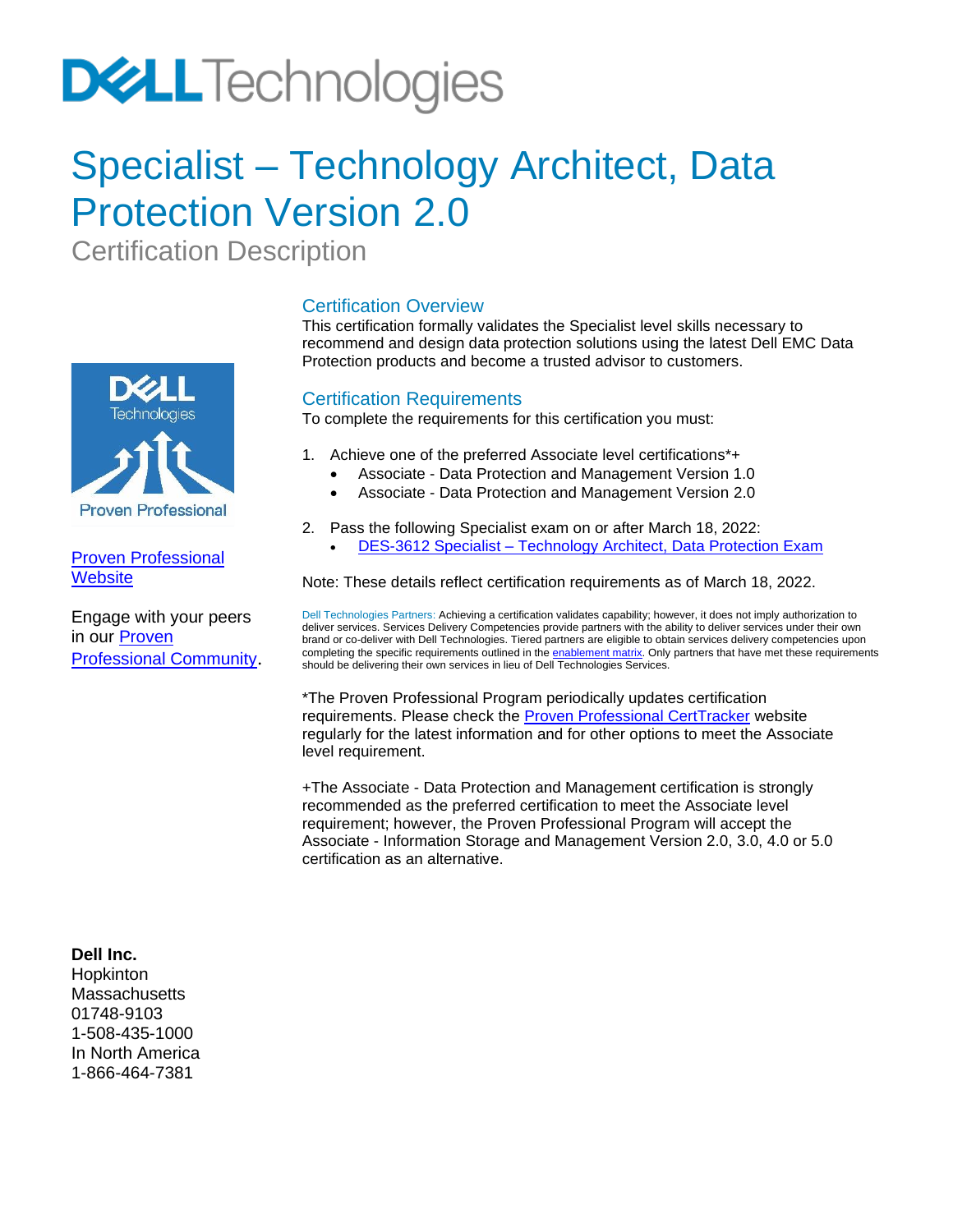# **DELL**Technologies

### Specialist – Technology Architect, Data Protection Version 2.0

Certification Description



#### [Proven Professional](https://education.dellemc.com/content/emc/en-us/home/certification-overview.html)  **[Website](https://education.dellemc.com/content/emc/en-us/home/certification-overview.html)**

Engage with your peers in our [Proven](https://www.dell.com/community/Proven-Professional/bd-p/ProvenProfessional_CertificationBoard)  [Professional Community](https://www.dell.com/community/Proven-Professional/bd-p/ProvenProfessional_CertificationBoard).

#### Certification Overview

This certification formally validates the Specialist level skills necessary to recommend and design data protection solutions using the latest Dell EMC Data Protection products and become a trusted advisor to customers.

#### Certification Requirements

To complete the requirements for this certification you must:

- 1. Achieve one of the preferred Associate level certifications\*+
	- Associate Data Protection and Management Version 1.0
	- Associate Data Protection and Management Version 2.0
- 2. Pass the following Specialist exam on or after March 18, 2022:
	- DES-3612 Specialist [Technology Architect, Data Protection Exam](#page-1-0)

Note: These details reflect certification requirements as of March 18, 2022.

Dell Technologies Partners: Achieving a certification validates capability; however, it does not imply authorization to deliver services. Services Delivery Competencies provide partners with the ability to deliver services under their own brand or co-deliver with Dell Technologies. Tiered partners are eligible to obtain services delivery competencies upon completing the specific requirements outlined in th[e enablement matrix.](https://www.delltechnologies.com/partner/en-us/auth/services/delivering-services.htm#accordion0) Only partners that have met these requirements should be delivering their own services in lieu of Dell Technologies Services.

\*The Proven Professional Program periodically updates certification requirements. Please check the [Proven Professional CertTracker](https://www.certmetrics.com/dellemc/login.aspx?ReturnUrl=%2femc%2f) website regularly for the latest information and for other options to meet the Associate level requirement.

+The Associate - Data Protection and Management certification is strongly recommended as the preferred certification to meet the Associate level requirement; however, the Proven Professional Program will accept the Associate - Information Storage and Management Version 2.0, 3.0, 4.0 or 5.0 certification as an alternative.

**Dell Inc.**

Hopkinton **Massachusetts** 01748-9103 1-508-435-1000 In North America 1-866-464-7381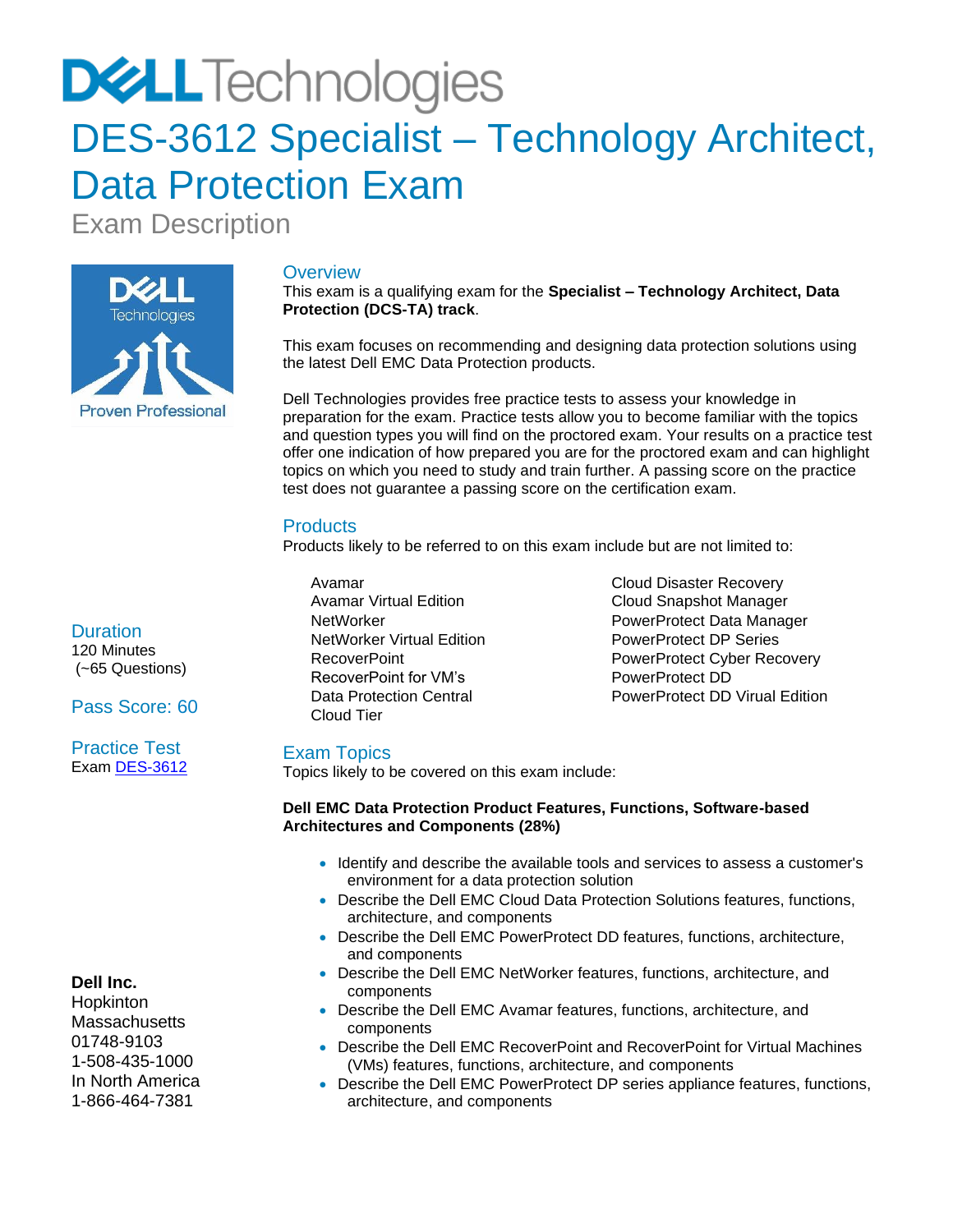# **DELL** Technologies

### <span id="page-1-0"></span>DES-3612 Specialist - Technology Architect, Data Protection Exam

Exam Description



#### **Overview**

This exam is a qualifying exam for the **Specialist – Technology Architect, Data Protection (DCS-TA) track**.

This exam focuses on recommending and designing data protection solutions using the latest Dell EMC Data Protection products.

Dell Technologies provides free practice tests to assess your knowledge in preparation for the exam. Practice tests allow you to become familiar with the topics and question types you will find on the proctored exam. Your results on a practice test offer one indication of how prepared you are for the proctored exam and can highlight topics on which you need to study and train further. A passing score on the practice test does not guarantee a passing score on the certification exam.

#### **Products**

Products likely to be referred to on this exam include but are not limited to:

- Avamar • Avamar Virtual Edition • NetWorker • NetWorker Virtual Edition • RecoverPoint • RecoverPoint for VM's Data Protection Central Cloud Tier
- Cloud Disaster Recovery • Cloud Snapshot Manager • PowerProtect Data Manager PowerProtect DP Series PowerProtect Cyber Recovery • PowerProtect DD • PowerProtect DD Virual Edition

#### Exam Topics

Topics likely to be covered on this exam include:

#### **Dell EMC Data Protection Product Features, Functions, Software-based Architectures and Components (28%)**

- Identify and describe the available tools and services to assess a customer's environment for a data protection solution
- Describe the Dell EMC Cloud Data Protection Solutions features, functions, architecture, and components
- Describe the Dell EMC PowerProtect DD features, functions, architecture, and components
- Describe the Dell EMC NetWorker features, functions, architecture, and components
- Describe the Dell EMC Avamar features, functions, architecture, and components
- Describe the Dell EMC RecoverPoint and RecoverPoint for Virtual Machines (VMs) features, functions, architecture, and components
- Describe the Dell EMC PowerProtect DP series appliance features, functions, architecture, and components

**Duration** 120 Minutes (~65 Questions)

Pass Score: 60

Practice Test Exam [DES-3612](https://secure.testcraft.com/emc/assess.aspx?aid=MR-1DP-DES3612-2022Q1&apass=sptadatapro)

#### **Dell Inc.**

Hopkinton **Massachusetts** 01748-9103 1-508-435-1000 In North America 1-866-464-7381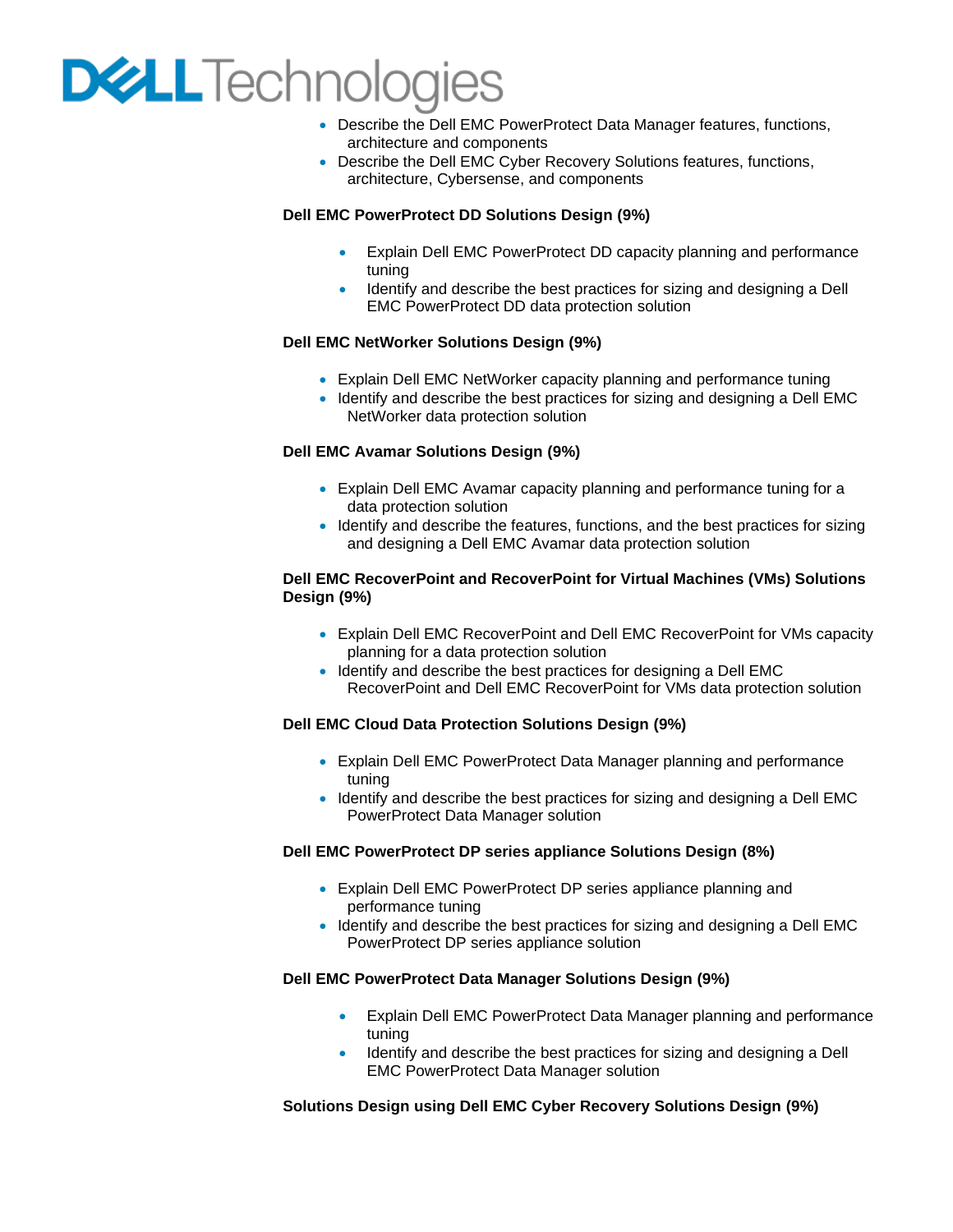## **DELL**Technologies

- Describe the Dell EMC PowerProtect Data Manager features, functions, architecture and components
- Describe the Dell EMC Cyber Recovery Solutions features, functions, architecture, Cybersense, and components

#### **Dell EMC PowerProtect DD Solutions Design (9%)**

- Explain Dell EMC PowerProtect DD capacity planning and performance tuning
- Identify and describe the best practices for sizing and designing a Dell EMC PowerProtect DD data protection solution

#### **Dell EMC NetWorker Solutions Design (9%)**

- Explain Dell EMC NetWorker capacity planning and performance tuning
- Identify and describe the best practices for sizing and designing a Dell EMC NetWorker data protection solution

#### **Dell EMC Avamar Solutions Design (9%)**

- Explain Dell EMC Avamar capacity planning and performance tuning for a data protection solution
- Identify and describe the features, functions, and the best practices for sizing and designing a Dell EMC Avamar data protection solution

#### **Dell EMC RecoverPoint and RecoverPoint for Virtual Machines (VMs) Solutions Design (9%)**

- Explain Dell EMC RecoverPoint and Dell EMC RecoverPoint for VMs capacity planning for a data protection solution
- Identify and describe the best practices for designing a Dell EMC RecoverPoint and Dell EMC RecoverPoint for VMs data protection solution

#### **Dell EMC Cloud Data Protection Solutions Design (9%)**

- Explain Dell EMC PowerProtect Data Manager planning and performance tuning
- Identify and describe the best practices for sizing and designing a Dell EMC PowerProtect Data Manager solution

#### **Dell EMC PowerProtect DP series appliance Solutions Design (8%)**

- Explain Dell EMC PowerProtect DP series appliance planning and performance tuning
- Identify and describe the best practices for sizing and designing a Dell EMC PowerProtect DP series appliance solution

#### **Dell EMC PowerProtect Data Manager Solutions Design (9%)**

- Explain Dell EMC PowerProtect Data Manager planning and performance tuning
- Identify and describe the best practices for sizing and designing a Dell EMC PowerProtect Data Manager solution

#### **Solutions Design using Dell EMC Cyber Recovery Solutions Design (9%)**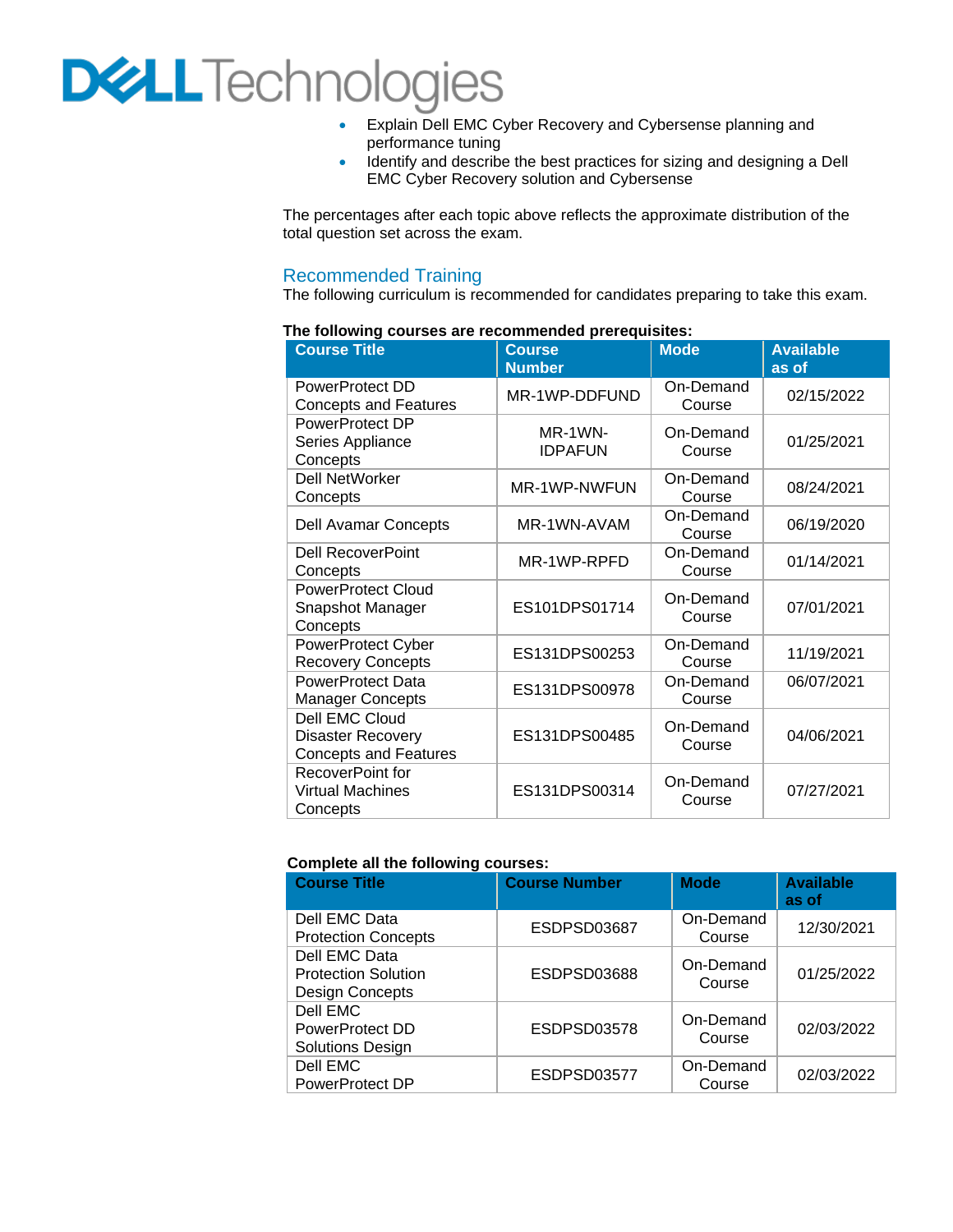## **DELL** Technologies

- Explain Dell EMC Cyber Recovery and Cybersense planning and performance tuning
- Identify and describe the best practices for sizing and designing a Dell EMC Cyber Recovery solution and Cybersense

The percentages after each topic above reflects the approximate distribution of the total question set across the exam.

#### Recommended Training

The following curriculum is recommended for candidates preparing to take this exam.

| <b>Course Title</b>                                                        | <b>Course</b><br><b>Number</b> | <b>Mode</b>         | <b>Available</b><br>as of |
|----------------------------------------------------------------------------|--------------------------------|---------------------|---------------------------|
| PowerProtect DD<br><b>Concepts and Features</b>                            | MR-1WP-DDFUND                  | On-Demand<br>Course | 02/15/2022                |
| PowerProtect DP<br>Series Appliance<br>Concepts                            | MR-1WN-<br><b>IDPAFUN</b>      | On-Demand<br>Course | 01/25/2021                |
| <b>Dell NetWorker</b><br>Concepts                                          | MR-1WP-NWFUN                   | On-Demand<br>Course | 08/24/2021                |
| <b>Dell Avamar Concepts</b>                                                | MR-1WN-AVAM                    | On-Demand<br>Course | 06/19/2020                |
| <b>Dell RecoverPoint</b><br>Concepts                                       | MR-1WP-RPFD                    | On-Demand<br>Course | 01/14/2021                |
| <b>PowerProtect Cloud</b><br>Snapshot Manager<br>Concepts                  | ES101DPS01714                  | On-Demand<br>Course | 07/01/2021                |
| PowerProtect Cyber<br><b>Recovery Concepts</b>                             | ES131DPS00253                  | On-Demand<br>Course | 11/19/2021                |
| <b>PowerProtect Data</b><br><b>Manager Concepts</b>                        | ES131DPS00978                  | On-Demand<br>Course | 06/07/2021                |
| Dell EMC Cloud<br><b>Disaster Recovery</b><br><b>Concepts and Features</b> | ES131DPS00485                  | On-Demand<br>Course | 04/06/2021                |
| RecoverPoint for<br><b>Virtual Machines</b><br>Concepts                    | ES131DPS00314                  | On-Demand<br>Course | 07/27/2021                |

#### **The following courses are recommended prerequisites:**

#### **Complete all the following courses:**

| <b>Course Title</b>                                            | <b>Course Number</b> | <b>Mode</b>         | <b>Available</b><br>as of |
|----------------------------------------------------------------|----------------------|---------------------|---------------------------|
| Dell EMC Data<br><b>Protection Concepts</b>                    | ESDPSD03687          | On-Demand<br>Course | 12/30/2021                |
| Dell EMC Data<br><b>Protection Solution</b><br>Design Concepts | ESDPSD03688          | On-Demand<br>Course | 01/25/2022                |
| Dell EMC<br>PowerProtect DD<br><b>Solutions Design</b>         | ESDPSD03578          | On-Demand<br>Course | 02/03/2022                |
| Dell EMC<br>PowerProtect DP                                    | ESDPSD03577          | On-Demand<br>Course | 02/03/2022                |